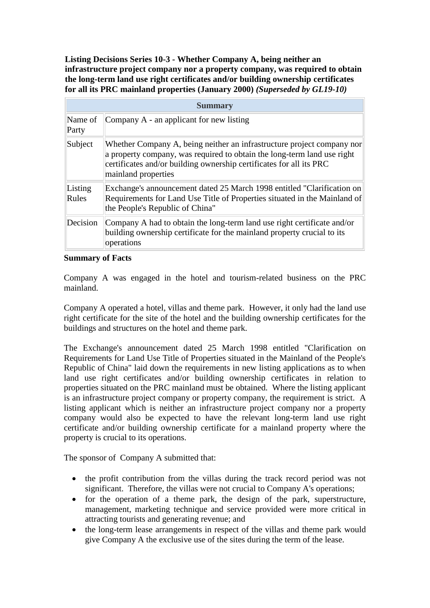**Listing Decisions Series 10-3 - Whether Company A, being neither an infrastructure project company nor a property company, was required to obtain the long-term land use right certificates and/or building ownership certificates for all its PRC mainland properties (January 2000)** *(Superseded by GL19-10)*

| <b>Summary</b>   |                                                                                                                                                                                                                                                 |
|------------------|-------------------------------------------------------------------------------------------------------------------------------------------------------------------------------------------------------------------------------------------------|
| Name of<br>Party | Company A - an applicant for new listing                                                                                                                                                                                                        |
| Subject          | Whether Company A, being neither an infrastructure project company nor<br>a property company, was required to obtain the long-term land use right<br>certificates and/or building ownership certificates for all its PRC<br>mainland properties |
| Listing<br>Rules | Exchange's announcement dated 25 March 1998 entitled "Clarification on<br>Requirements for Land Use Title of Properties situated in the Mainland of<br>the People's Republic of China"                                                          |
| Decision         | Company A had to obtain the long-term land use right certificate and/or<br>building ownership certificate for the mainland property crucial to its<br>operations                                                                                |

## **Summary of Facts**

Company A was engaged in the hotel and tourism-related business on the PRC mainland.

Company A operated a hotel, villas and theme park. However, it only had the land use right certificate for the site of the hotel and the building ownership certificates for the buildings and structures on the hotel and theme park.

The Exchange's announcement dated 25 March 1998 entitled "Clarification on Requirements for Land Use Title of Properties situated in the Mainland of the People's Republic of China" laid down the requirements in new listing applications as to when land use right certificates and/or building ownership certificates in relation to properties situated on the PRC mainland must be obtained. Where the listing applicant is an infrastructure project company or property company, the requirement is strict. A listing applicant which is neither an infrastructure project company nor a property company would also be expected to have the relevant long-term land use right certificate and/or building ownership certificate for a mainland property where the property is crucial to its operations.

The sponsor of Company A submitted that:

- the profit contribution from the villas during the track record period was not significant. Therefore, the villas were not crucial to Company A's operations;
- for the operation of a theme park, the design of the park, superstructure, management, marketing technique and service provided were more critical in attracting tourists and generating revenue; and
- the long-term lease arrangements in respect of the villas and theme park would give Company A the exclusive use of the sites during the term of the lease.